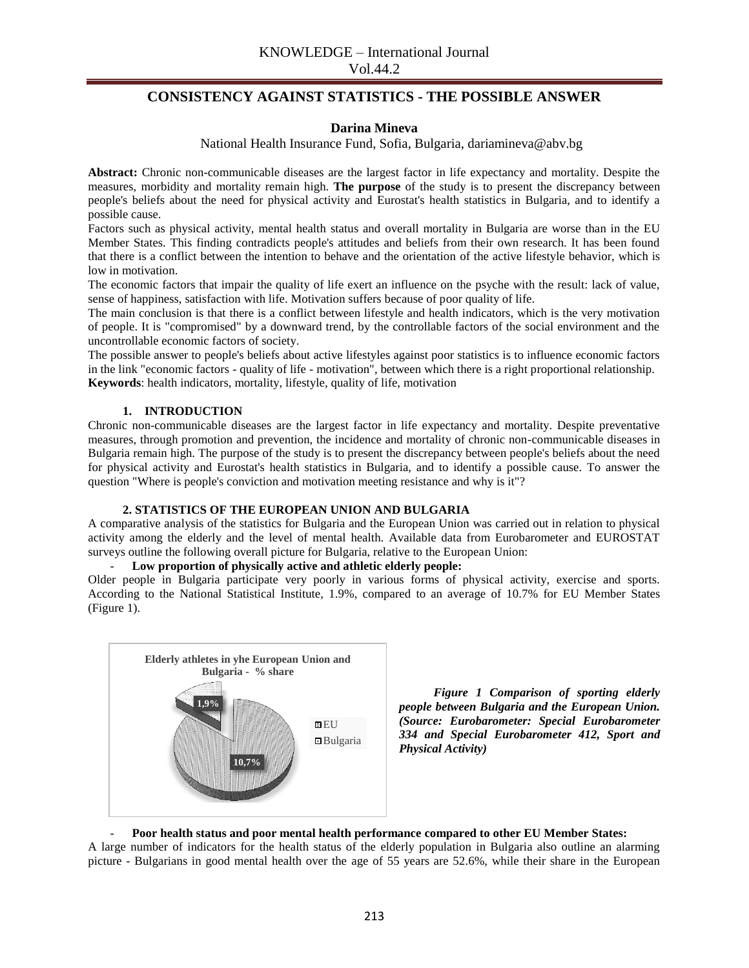## **CONSISTENCY AGAINST STATISTICS - THE POSSIBLE ANSWER**

## **Darina Mineva**

National Health Insurance Fund, Sofia, Bulgaria, [dariamineva@abv.bg](mailto:dariamineva@abv.bg)

**Abstract:** Chronic non-communicable diseases are the largest factor in life expectancy and mortality. Despite the measures, morbidity and mortality remain high. **The purpose** of the study is to present the discrepancy between people's beliefs about the need for physical activity and Eurostat's health statistics in Bulgaria, and to identify a possible cause.

Factors such as physical activity, mental health status and overall mortality in Bulgaria are worse than in the EU Member States. This finding contradicts people's attitudes and beliefs from their own research. It has been found that there is a conflict between the intention to behave and the orientation of the active lifestyle behavior, which is low in motivation.

The economic factors that impair the quality of life exert an influence on the psyche with the result: lack of value, sense of happiness, satisfaction with life. Motivation suffers because of poor quality of life.

The main conclusion is that there is a conflict between lifestyle and health indicators, which is the very motivation of people. It is "compromised" by a downward trend, by the controllable factors of the social environment and the uncontrollable economic factors of society.

The possible answer to people's beliefs about active lifestyles against poor statistics is to influence economic factors in the link "economic factors - quality of life - motivation", between which there is a right proportional relationship. **Keywords**: health indicators, mortality, lifestyle, quality of life, motivation

## **1. INTRODUCTION**

Chronic non-communicable diseases are the largest factor in life expectancy and mortality. Despite preventative measures, through promotion and prevention, the incidence and mortality of chronic non-communicable diseases in Bulgaria remain high. The purpose of the study is to present the discrepancy between people's beliefs about the need for physical activity and Eurostat's health statistics in Bulgaria, and to identify a possible cause. To answer the question "Where is people's conviction and motivation meeting resistance and why is it"?

#### **2. STATISTICS OF THE EUROPEAN UNION AND BULGARIA**

A comparative analysis of the statistics for Bulgaria and the European Union was carried out in relation to physical activity among the elderly and the level of mental health. Available data from Eurobarometer and EUROSTAT surveys outline the following overall picture for Bulgaria, relative to the European Union:

## - **Low proportion of physically active and athletic elderly people:**

Older people in Bulgaria participate very poorly in various forms of physical activity, exercise and sports. According to the National Statistical Institute, 1.9%, compared to an average of 10.7% for EU Member States (Figure 1).



*Figure 1 Comparison of sporting elderly people between Bulgaria and the European Union. (Source: Eurobarometer: Special Eurobarometer 334 and Special Eurobarometer 412, Sport and Physical Activity)*

#### - **Poor health status and poor mental health performance compared to other EU Member States:**

A large number of indicators for the health status of the elderly population in Bulgaria also outline an alarming picture - Bulgarians in good mental health over the age of 55 years are 52.6%, while their share in the European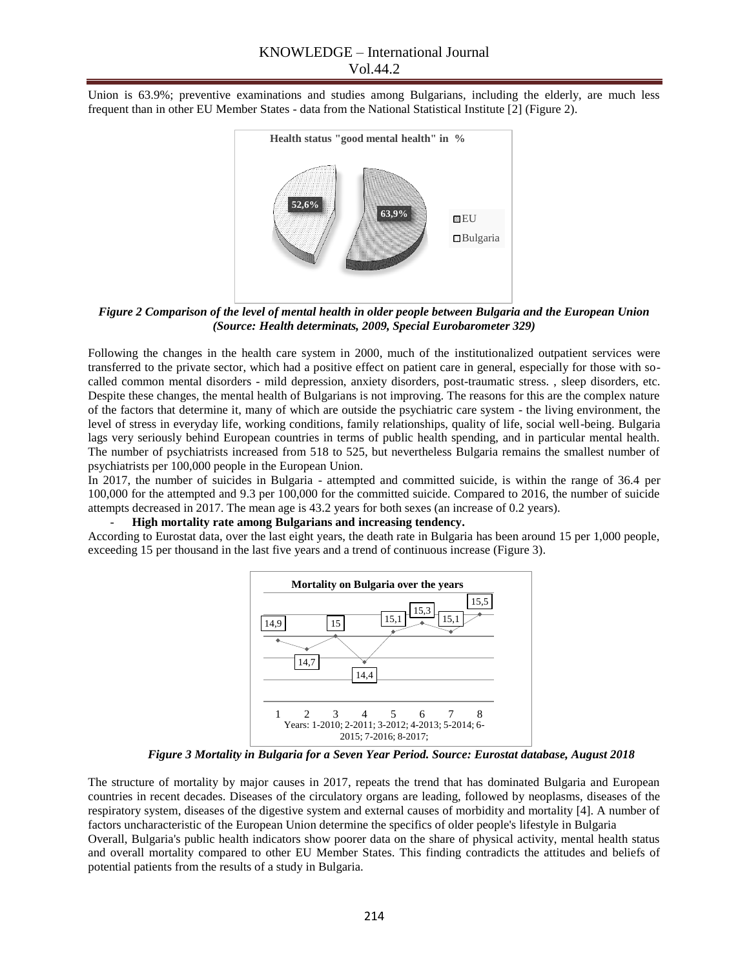Union is 63.9%; preventive examinations and studies among Bulgarians, including the elderly, are much less frequent than in other EU Member States - data from the National Statistical Institute [2] (Figure 2).



*Figure 2 Comparison of the level of mental health in older people between Bulgaria and the European Union (Source: Health determinats, 2009, Special Eurobarometer 329)*

Following the changes in the health care system in 2000, much of the institutionalized outpatient services were transferred to the private sector, which had a positive effect on patient care in general, especially for those with socalled common mental disorders - mild depression, anxiety disorders, post-traumatic stress. , sleep disorders, etc. Despite these changes, the mental health of Bulgarians is not improving. The reasons for this are the complex nature of the factors that determine it, many of which are outside the psychiatric care system - the living environment, the level of stress in everyday life, working conditions, family relationships, quality of life, social well-being. Bulgaria lags very seriously behind European countries in terms of public health spending, and in particular mental health. The number of psychiatrists increased from 518 to 525, but nevertheless Bulgaria remains the smallest number of psychiatrists per 100,000 people in the European Union.

In 2017, the number of suicides in Bulgaria - attempted and committed suicide, is within the range of 36.4 per 100,000 for the attempted and 9.3 per 100,000 for the committed suicide. Compared to 2016, the number of suicide attempts decreased in 2017. The mean age is 43.2 years for both sexes (an increase of 0.2 years).

#### - **High mortality rate among Bulgarians and increasing tendency.**

According to Eurostat data, over the last eight years, the death rate in Bulgaria has been around 15 per 1,000 people, exceeding 15 per thousand in the last five years and a trend of continuous increase (Figure 3).



*Figure 3 Mortality in Bulgaria for a Seven Year Period. Source: Eurostat database, August 2018*

The structure of mortality by major causes in 2017, repeats the trend that has dominated Bulgaria and European countries in recent decades. Diseases of the circulatory organs are leading, followed by neoplasms, diseases of the respiratory system, diseases of the digestive system and external causes of morbidity and mortality [4]. A number of factors uncharacteristic of the European Union determine the specifics of older people's lifestyle in Bulgaria Overall, Bulgaria's public health indicators show poorer data on the share of physical activity, mental health status

and overall mortality compared to other EU Member States. This finding contradicts the attitudes and beliefs of potential patients from the results of a study in Bulgaria.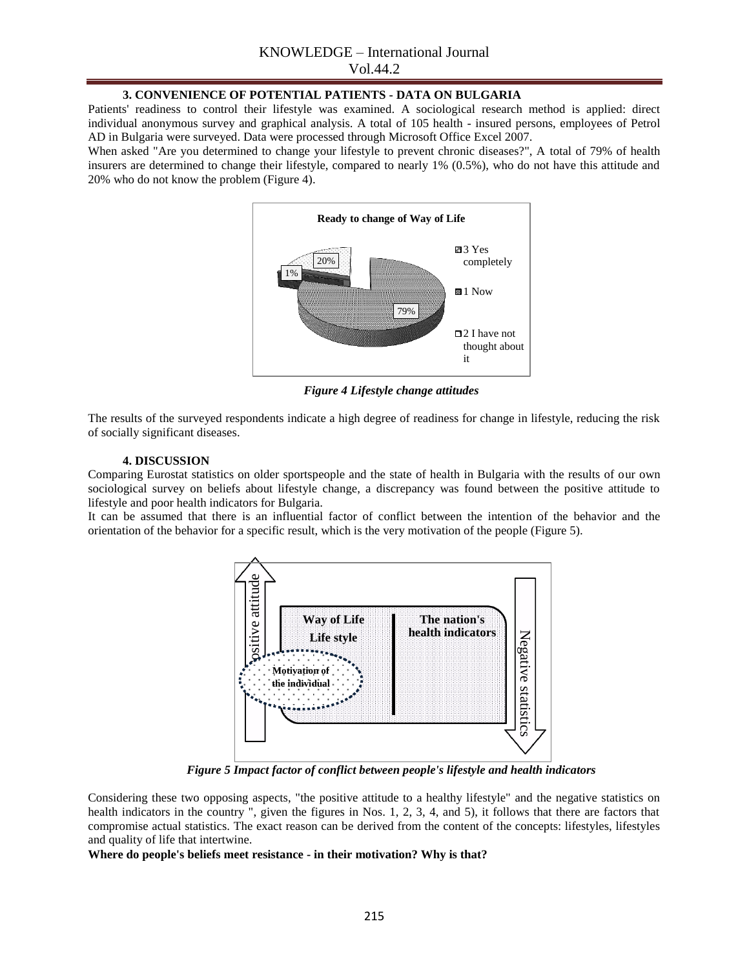# KNOWLEDGE – International Journal

Vol.44.2

## **3. CONVENIENCE OF POTENTIAL PATIENTS - DATA ON BULGARIA**

Patients' readiness to control their lifestyle was examined. A sociological research method is applied: direct individual anonymous survey and graphical analysis. A total of 105 health - insured persons, employees of Petrol AD in Bulgaria were surveyed. Data were processed through Microsoft Office Excel 2007.

When asked "Are you determined to change your lifestyle to prevent chronic diseases?", A total of 79% of health insurers are determined to change their lifestyle, compared to nearly 1% (0.5%), who do not have this attitude and 20% who do not know the problem (Figure 4).



*Figure 4 Lifestyle change attitudes*

The results of the surveyed respondents indicate a high degree of readiness for change in lifestyle, reducing the risk of socially significant diseases.

## **4. DISCUSSION**

Comparing Eurostat statistics on older sportspeople and the state of health in Bulgaria with the results of our own sociological survey on beliefs about lifestyle change, a discrepancy was found between the positive attitude to lifestyle and poor health indicators for Bulgaria.

It can be assumed that there is an influential factor of conflict between the intention of the behavior and the orientation of the behavior for a specific result, which is the very motivation of the people (Figure 5).



*Figure 5 Impact factor of conflict between people's lifestyle and health indicators*

Considering these two opposing aspects, "the positive attitude to a healthy lifestyle" and the negative statistics on health indicators in the country ", given the figures in Nos. 1, 2, 3, 4, and 5), it follows that there are factors that compromise actual statistics. The exact reason can be derived from the content of the concepts: lifestyles, lifestyles and quality of life that intertwine.

**Where do people's beliefs meet resistance - in their motivation? Why is that?**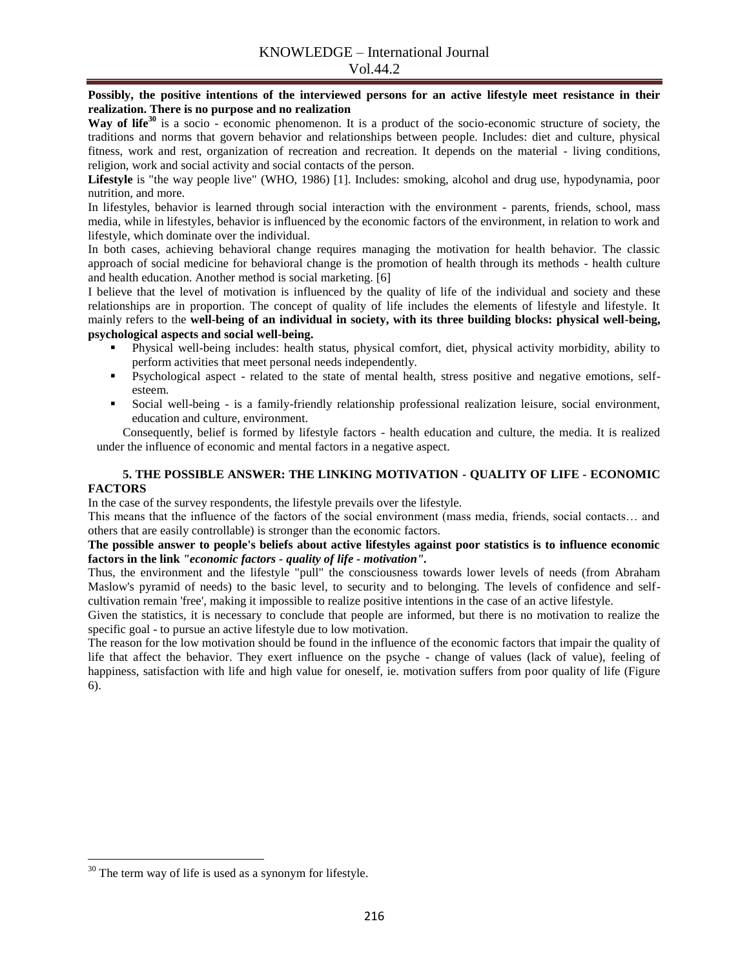Vol.44.2

**Possibly, the positive intentions of the interviewed persons for an active lifestyle meet resistance in their realization. There is no purpose and no realization**

Way of life<sup>30</sup> is a socio - economic phenomenon. It is a product of the socio-economic structure of society, the traditions and norms that govern behavior and relationships between people. Includes: diet and culture, physical fitness, work and rest, organization of recreation and recreation. It depends on the material - living conditions, religion, work and social activity and social contacts of the person.

**Lifestyle** is "the way people live" (WHO, 1986) [1]. Includes: smoking, alcohol and drug use, hypodynamia, poor nutrition, and more.

In lifestyles, behavior is learned through social interaction with the environment - parents, friends, school, mass media, while in lifestyles, behavior is influenced by the economic factors of the environment, in relation to work and lifestyle, which dominate over the individual.

In both cases, achieving behavioral change requires managing the motivation for health behavior. The classic approach of social medicine for behavioral change is the promotion of health through its methods - health culture and health education. Another method is social marketing. [6]

I believe that the level of motivation is influenced by the quality of life of the individual and society and these relationships are in proportion. The concept of quality of life includes the elements of lifestyle and lifestyle. It mainly refers to the **well-being of an individual in society, with its three building blocks: physical well-being, psychological aspects and social well-being.**

- Physical well-being includes: health status, physical comfort, diet, physical activity morbidity, ability to perform activities that meet personal needs independently.
- Psychological aspect related to the state of mental health, stress positive and negative emotions, selfesteem.
- Social well-being is a family-friendly relationship professional realization leisure, social environment, education and culture, environment.

Consequently, belief is formed by lifestyle factors - health education and culture, the media. It is realized under the influence of economic and mental factors in a negative aspect.

## **5. THE POSSIBLE ANSWER: THE LINKING MOTIVATION - QUALITY OF LIFE - ECONOMIC FACTORS**

In the case of the survey respondents, the lifestyle prevails over the lifestyle.

This means that the influence of the factors of the social environment (mass media, friends, social contacts… and others that are easily controllable) is stronger than the economic factors.

### **The possible answer to people's beliefs about active lifestyles against poor statistics is to influence economic factors in the link** *"economic factors - quality of life - motivation".*

Thus, the environment and the lifestyle "pull" the consciousness towards lower levels of needs (from Abraham Maslow's pyramid of needs) to the basic level, to security and to belonging. The levels of confidence and selfcultivation remain 'free', making it impossible to realize positive intentions in the case of an active lifestyle.

Given the statistics, it is necessary to conclude that people are informed, but there is no motivation to realize the specific goal - to pursue an active lifestyle due to low motivation.

The reason for the low motivation should be found in the influence of the economic factors that impair the quality of life that affect the behavior. They exert influence on the psyche - change of values (lack of value), feeling of happiness, satisfaction with life and high value for oneself, ie. motivation suffers from poor quality of life (Figure 6).

 $\overline{\phantom{a}}$ 

 $30$  The term way of life is used as a synonym for lifestyle.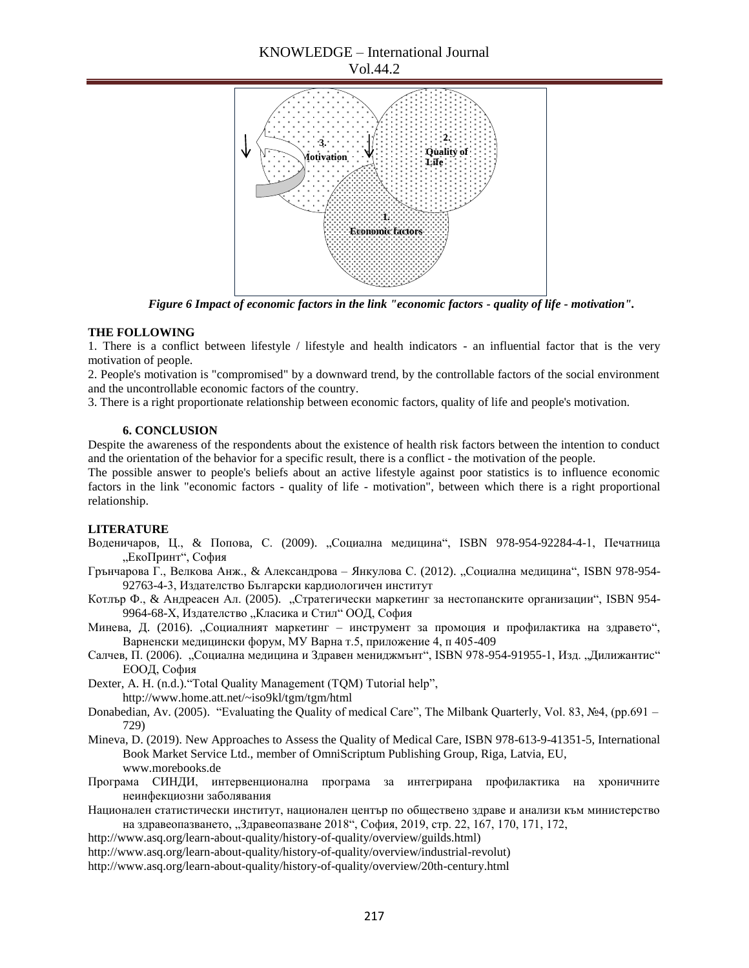# KNOWLEDGE – International Journal





*Figure 6 Impact of economic factors in the link "economic factors - quality of life - motivation".*

### **THE FOLLOWING**

1. There is a conflict between lifestyle / lifestyle and health indicators - an influential factor that is the very motivation of people.

2. People's motivation is "compromised" by a downward trend, by the controllable factors of the social environment and the uncontrollable economic factors of the country.

3. There is a right proportionate relationship between economic factors, quality of life and people's motivation.

#### **6. CONCLUSION**

Despite the awareness of the respondents about the existence of health risk factors between the intention to conduct and the orientation of the behavior for a specific result, there is a conflict - the motivation of the people.

The possible answer to people's beliefs about an active lifestyle against poor statistics is to influence economic factors in the link "economic factors - quality of life - motivation", between which there is a right proportional relationship.

#### **LITERATURE**

- Воденичаров, Ц., & Попова, С. (2009). "Социална медицина", ISBN 978-954-92284-4-1, Печатница "ЕкоПринт", София
- Грънчарова Г., Велкова Анж., & Александрова Янкулова С. (2012). "Социална медицина", ISBN 978-954-92763-4-3, Издателство Български кардиологичен институт
- Котлър Ф., & Андреасен Ал. (2005). "Стратегически маркетинг за нестопанските организации", ISBN 954-9964-68-Х, Издателство "Класика и Стил" ООД, София
- Минева, Д. (2016). "Социалният маркетинг инструмент за промоция и профилактика на здравето", Варненски медицински форум, МУ Варна т.5, приложение 4, п 405-409
- Салчев, П. (2006). "Социална медицина и Здравен мениджмънт", ISBN 978-954-91955-1, Изд. "Дилижантис" ЕООД, София

Dexter, A. H. (n.d.). "Total Quality Management (TQM) Tutorial help", http://www.home.att.net/~iso9kl/tgm/tgm/html

- Donabedian, Av. (2005). "Evaluating the Quality of medical Care", The Milbank Quarterly, Vol. 83, №4, (pp.691 729)
- Mineva, D. (2019). New Approaches to Assess the Quality of Medical Care, ISBN 978-613-9-41351-5, International Book Market Service Ltd., member of OmniScriptum Publishing Group, Riga, Latvia, EU, www.morebooks.de
- Програма СИНДИ, интервенционална програма за интегрирана профилактика на хроничните неинфекциозни заболявания
- Национален статистически институт, национален център по обществено здраве и анализи към министерство на здравеопазването, "Здравеопазване 2018", София, 2019, стр. 22, 167, 170, 171, 172,

http://www.asq.org/learn-about-quality/history-of-quality/overview/guilds.html)

http://www.asq.org/learn-about-quality/history-of-quality/overview/industrial-revolut)

<http://www.asq.org/learn-about-quality/history-of-quality/overview/20th-century.html>